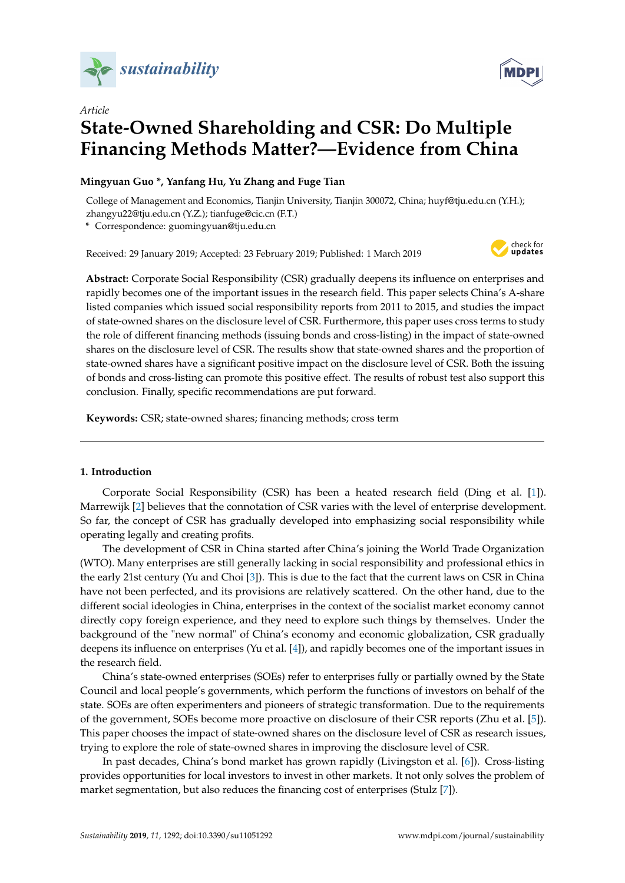



# *Article* **State-Owned Shareholding and CSR: Do Multiple Financing Methods Matter?—Evidence from China**

# **Mingyuan Guo \*, Yanfang Hu, Yu Zhang and Fuge Tian**

College of Management and Economics, Tianjin University, Tianjin 300072, China; huyf@tju.edu.cn (Y.H.); zhangyu22@tju.edu.cn (Y.Z.); tianfuge@cic.cn (F.T.)

**\*** Correspondence: guomingyuan@tju.edu.cn

Received: 29 January 2019; Accepted: 23 February 2019; Published: 1 March 2019



**Abstract:** Corporate Social Responsibility (CSR) gradually deepens its influence on enterprises and rapidly becomes one of the important issues in the research field. This paper selects China's A-share listed companies which issued social responsibility reports from 2011 to 2015, and studies the impact of state-owned shares on the disclosure level of CSR. Furthermore, this paper uses cross terms to study the role of different financing methods (issuing bonds and cross-listing) in the impact of state-owned shares on the disclosure level of CSR. The results show that state-owned shares and the proportion of state-owned shares have a significant positive impact on the disclosure level of CSR. Both the issuing of bonds and cross-listing can promote this positive effect. The results of robust test also support this conclusion. Finally, specific recommendations are put forward.

**Keywords:** CSR; state-owned shares; financing methods; cross term

# **1. Introduction**

Corporate Social Responsibility (CSR) has been a heated research field (Ding et al. [\[1\]](#page-12-0)). Marrewijk [\[2\]](#page-12-1) believes that the connotation of CSR varies with the level of enterprise development. So far, the concept of CSR has gradually developed into emphasizing social responsibility while operating legally and creating profits.

The development of CSR in China started after China's joining the World Trade Organization (WTO). Many enterprises are still generally lacking in social responsibility and professional ethics in the early 21st century (Yu and Choi [\[3\]](#page-12-2)). This is due to the fact that the current laws on CSR in China have not been perfected, and its provisions are relatively scattered. On the other hand, due to the different social ideologies in China, enterprises in the context of the socialist market economy cannot directly copy foreign experience, and they need to explore such things by themselves. Under the background of the "new normal" of China's economy and economic globalization, CSR gradually deepens its influence on enterprises (Yu et al. [\[4\]](#page-12-3)), and rapidly becomes one of the important issues in the research field.

China's state-owned enterprises (SOEs) refer to enterprises fully or partially owned by the State Council and local people's governments, which perform the functions of investors on behalf of the state. SOEs are often experimenters and pioneers of strategic transformation. Due to the requirements of the government, SOEs become more proactive on disclosure of their CSR reports (Zhu et al. [\[5\]](#page-12-4)). This paper chooses the impact of state-owned shares on the disclosure level of CSR as research issues, trying to explore the role of state-owned shares in improving the disclosure level of CSR.

In past decades, China's bond market has grown rapidly (Livingston et al. [\[6\]](#page-12-5)). Cross-listing provides opportunities for local investors to invest in other markets. It not only solves the problem of market segmentation, but also reduces the financing cost of enterprises (Stulz [\[7\]](#page-12-6)).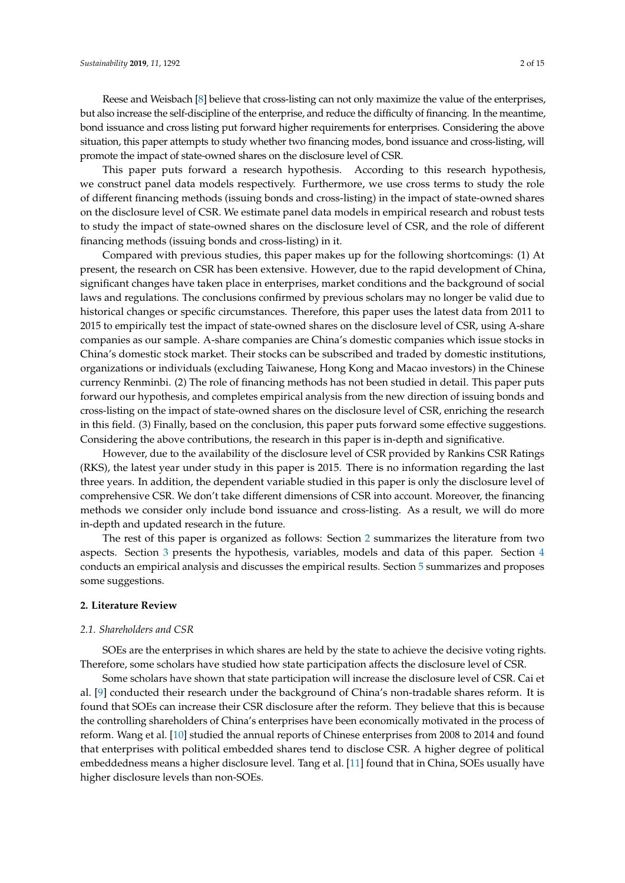Reese and Weisbach [\[8\]](#page-12-7) believe that cross-listing can not only maximize the value of the enterprises, but also increase the self-discipline of the enterprise, and reduce the difficulty of financing. In the meantime, bond issuance and cross listing put forward higher requirements for enterprises. Considering the above situation, this paper attempts to study whether two financing modes, bond issuance and cross-listing, will promote the impact of state-owned shares on the disclosure level of CSR.

This paper puts forward a research hypothesis. According to this research hypothesis, we construct panel data models respectively. Furthermore, we use cross terms to study the role of different financing methods (issuing bonds and cross-listing) in the impact of state-owned shares on the disclosure level of CSR. We estimate panel data models in empirical research and robust tests to study the impact of state-owned shares on the disclosure level of CSR, and the role of different financing methods (issuing bonds and cross-listing) in it.

Compared with previous studies, this paper makes up for the following shortcomings: (1) At present, the research on CSR has been extensive. However, due to the rapid development of China, significant changes have taken place in enterprises, market conditions and the background of social laws and regulations. The conclusions confirmed by previous scholars may no longer be valid due to historical changes or specific circumstances. Therefore, this paper uses the latest data from 2011 to 2015 to empirically test the impact of state-owned shares on the disclosure level of CSR, using A-share companies as our sample. A-share companies are China's domestic companies which issue stocks in China's domestic stock market. Their stocks can be subscribed and traded by domestic institutions, organizations or individuals (excluding Taiwanese, Hong Kong and Macao investors) in the Chinese currency Renminbi. (2) The role of financing methods has not been studied in detail. This paper puts forward our hypothesis, and completes empirical analysis from the new direction of issuing bonds and cross-listing on the impact of state-owned shares on the disclosure level of CSR, enriching the research in this field. (3) Finally, based on the conclusion, this paper puts forward some effective suggestions. Considering the above contributions, the research in this paper is in-depth and significative.

However, due to the availability of the disclosure level of CSR provided by Rankins CSR Ratings (RKS), the latest year under study in this paper is 2015. There is no information regarding the last three years. In addition, the dependent variable studied in this paper is only the disclosure level of comprehensive CSR. We don't take different dimensions of CSR into account. Moreover, the financing methods we consider only include bond issuance and cross-listing. As a result, we will do more in-depth and updated research in the future.

The rest of this paper is organized as follows: Section [2](#page-1-0) summarizes the literature from two aspects. Section [3](#page-3-0) presents the hypothesis, variables, models and data of this paper. Section [4](#page-7-0) conducts an empirical analysis and discusses the empirical results. Section [5](#page-10-0) summarizes and proposes some suggestions.

#### <span id="page-1-0"></span>**2. Literature Review**

#### *2.1. Shareholders and CSR*

SOEs are the enterprises in which shares are held by the state to achieve the decisive voting rights. Therefore, some scholars have studied how state participation affects the disclosure level of CSR.

Some scholars have shown that state participation will increase the disclosure level of CSR. Cai et al. [\[9\]](#page-12-8) conducted their research under the background of China's non-tradable shares reform. It is found that SOEs can increase their CSR disclosure after the reform. They believe that this is because the controlling shareholders of China's enterprises have been economically motivated in the process of reform. Wang et al. [\[10\]](#page-12-9) studied the annual reports of Chinese enterprises from 2008 to 2014 and found that enterprises with political embedded shares tend to disclose CSR. A higher degree of political embeddedness means a higher disclosure level. Tang et al. [\[11\]](#page-12-10) found that in China, SOEs usually have higher disclosure levels than non-SOEs.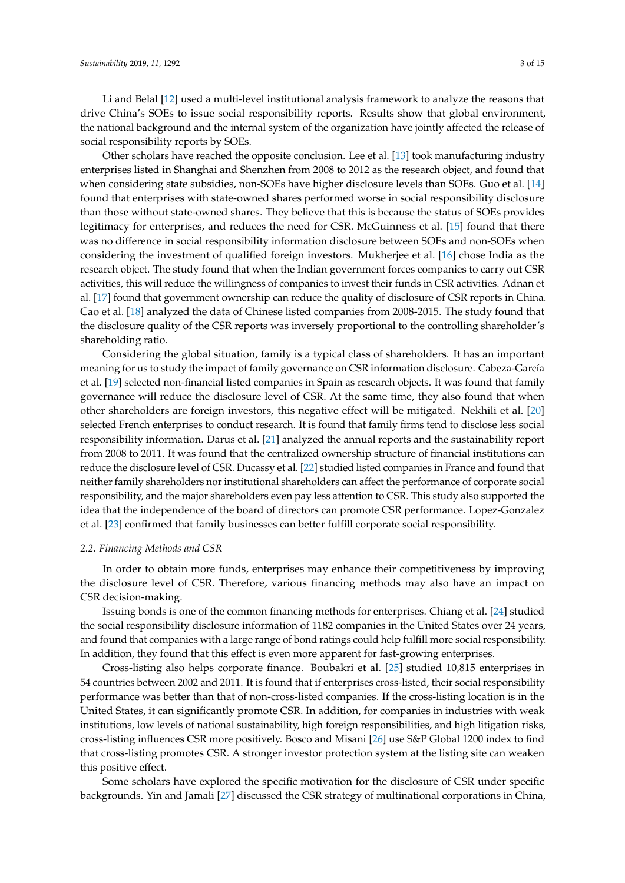Li and Belal [\[12\]](#page-12-11) used a multi-level institutional analysis framework to analyze the reasons that drive China's SOEs to issue social responsibility reports. Results show that global environment, the national background and the internal system of the organization have jointly affected the release of social responsibility reports by SOEs.

Other scholars have reached the opposite conclusion. Lee et al. [\[13\]](#page-12-12) took manufacturing industry enterprises listed in Shanghai and Shenzhen from 2008 to 2012 as the research object, and found that when considering state subsidies, non-SOEs have higher disclosure levels than SOEs. Guo et al. [\[14\]](#page-12-13) found that enterprises with state-owned shares performed worse in social responsibility disclosure than those without state-owned shares. They believe that this is because the status of SOEs provides legitimacy for enterprises, and reduces the need for CSR. McGuinness et al. [\[15\]](#page-12-14) found that there was no difference in social responsibility information disclosure between SOEs and non-SOEs when considering the investment of qualified foreign investors. Mukherjee et al. [\[16\]](#page-12-15) chose India as the research object. The study found that when the Indian government forces companies to carry out CSR activities, this will reduce the willingness of companies to invest their funds in CSR activities. Adnan et al. [\[17\]](#page-12-16) found that government ownership can reduce the quality of disclosure of CSR reports in China. Cao et al. [\[18\]](#page-13-0) analyzed the data of Chinese listed companies from 2008-2015. The study found that the disclosure quality of the CSR reports was inversely proportional to the controlling shareholder's shareholding ratio.

Considering the global situation, family is a typical class of shareholders. It has an important meaning for us to study the impact of family governance on CSR information disclosure. Cabeza-García et al. [\[19\]](#page-13-1) selected non-financial listed companies in Spain as research objects. It was found that family governance will reduce the disclosure level of CSR. At the same time, they also found that when other shareholders are foreign investors, this negative effect will be mitigated. Nekhili et al. [\[20\]](#page-13-2) selected French enterprises to conduct research. It is found that family firms tend to disclose less social responsibility information. Darus et al. [\[21\]](#page-13-3) analyzed the annual reports and the sustainability report from 2008 to 2011. It was found that the centralized ownership structure of financial institutions can reduce the disclosure level of CSR. Ducassy et al. [\[22\]](#page-13-4) studied listed companies in France and found that neither family shareholders nor institutional shareholders can affect the performance of corporate social responsibility, and the major shareholders even pay less attention to CSR. This study also supported the idea that the independence of the board of directors can promote CSR performance. Lopez-Gonzalez et al. [\[23\]](#page-13-5) confirmed that family businesses can better fulfill corporate social responsibility.

#### *2.2. Financing Methods and CSR*

In order to obtain more funds, enterprises may enhance their competitiveness by improving the disclosure level of CSR. Therefore, various financing methods may also have an impact on CSR decision-making.

Issuing bonds is one of the common financing methods for enterprises. Chiang et al. [\[24\]](#page-13-6) studied the social responsibility disclosure information of 1182 companies in the United States over 24 years, and found that companies with a large range of bond ratings could help fulfill more social responsibility. In addition, they found that this effect is even more apparent for fast-growing enterprises.

Cross-listing also helps corporate finance. Boubakri et al. [\[25\]](#page-13-7) studied 10,815 enterprises in 54 countries between 2002 and 2011. It is found that if enterprises cross-listed, their social responsibility performance was better than that of non-cross-listed companies. If the cross-listing location is in the United States, it can significantly promote CSR. In addition, for companies in industries with weak institutions, low levels of national sustainability, high foreign responsibilities, and high litigation risks, cross-listing influences CSR more positively. Bosco and Misani [\[26\]](#page-13-8) use S&P Global 1200 index to find that cross-listing promotes CSR. A stronger investor protection system at the listing site can weaken this positive effect.

Some scholars have explored the specific motivation for the disclosure of CSR under specific backgrounds. Yin and Jamali [\[27\]](#page-13-9) discussed the CSR strategy of multinational corporations in China,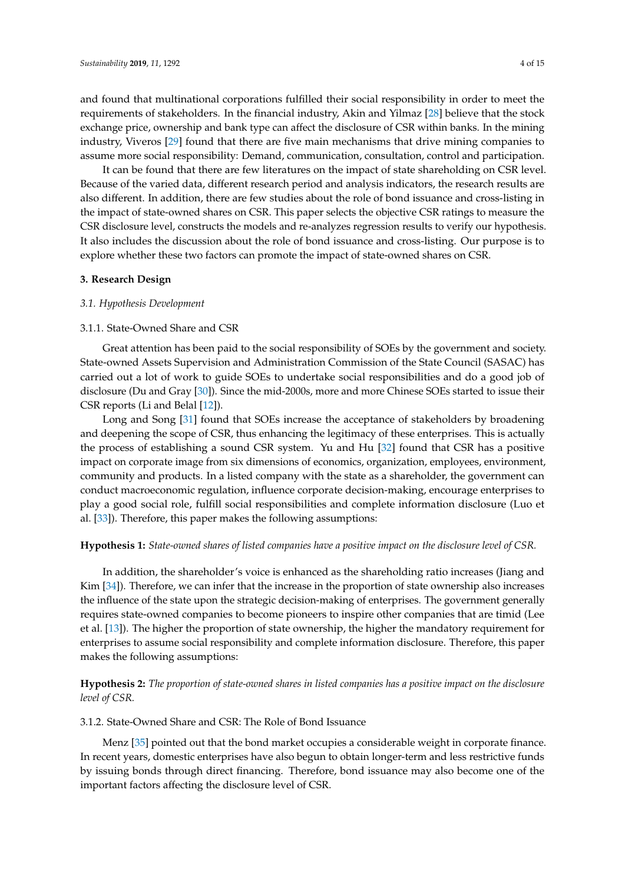and found that multinational corporations fulfilled their social responsibility in order to meet the requirements of stakeholders. In the financial industry, Akin and Yilmaz [\[28\]](#page-13-10) believe that the stock exchange price, ownership and bank type can affect the disclosure of CSR within banks. In the mining industry, Viveros [\[29\]](#page-13-11) found that there are five main mechanisms that drive mining companies to assume more social responsibility: Demand, communication, consultation, control and participation.

It can be found that there are few literatures on the impact of state shareholding on CSR level. Because of the varied data, different research period and analysis indicators, the research results are also different. In addition, there are few studies about the role of bond issuance and cross-listing in the impact of state-owned shares on CSR. This paper selects the objective CSR ratings to measure the CSR disclosure level, constructs the models and re-analyzes regression results to verify our hypothesis. It also includes the discussion about the role of bond issuance and cross-listing. Our purpose is to explore whether these two factors can promote the impact of state-owned shares on CSR.

## <span id="page-3-0"></span>**3. Research Design**

#### *3.1. Hypothesis Development*

## 3.1.1. State-Owned Share and CSR

Great attention has been paid to the social responsibility of SOEs by the government and society. State-owned Assets Supervision and Administration Commission of the State Council (SASAC) has carried out a lot of work to guide SOEs to undertake social responsibilities and do a good job of disclosure (Du and Gray [\[30\]](#page-13-12)). Since the mid-2000s, more and more Chinese SOEs started to issue their CSR reports (Li and Belal [\[12\]](#page-12-11)).

Long and Song [\[31\]](#page-13-13) found that SOEs increase the acceptance of stakeholders by broadening and deepening the scope of CSR, thus enhancing the legitimacy of these enterprises. This is actually the process of establishing a sound CSR system. Yu and Hu [\[32\]](#page-13-14) found that CSR has a positive impact on corporate image from six dimensions of economics, organization, employees, environment, community and products. In a listed company with the state as a shareholder, the government can conduct macroeconomic regulation, influence corporate decision-making, encourage enterprises to play a good social role, fulfill social responsibilities and complete information disclosure (Luo et al. [\[33\]](#page-13-15)). Therefore, this paper makes the following assumptions:

#### **Hypothesis 1:** *State-owned shares of listed companies have a positive impact on the disclosure level of CSR.*

In addition, the shareholder's voice is enhanced as the shareholding ratio increases (Jiang and Kim [\[34\]](#page-13-16)). Therefore, we can infer that the increase in the proportion of state ownership also increases the influence of the state upon the strategic decision-making of enterprises. The government generally requires state-owned companies to become pioneers to inspire other companies that are timid (Lee et al. [\[13\]](#page-12-12)). The higher the proportion of state ownership, the higher the mandatory requirement for enterprises to assume social responsibility and complete information disclosure. Therefore, this paper makes the following assumptions:

**Hypothesis 2:** *The proportion of state-owned shares in listed companies has a positive impact on the disclosure level of CSR.*

3.1.2. State-Owned Share and CSR: The Role of Bond Issuance

Menz [\[35\]](#page-13-17) pointed out that the bond market occupies a considerable weight in corporate finance. In recent years, domestic enterprises have also begun to obtain longer-term and less restrictive funds by issuing bonds through direct financing. Therefore, bond issuance may also become one of the important factors affecting the disclosure level of CSR.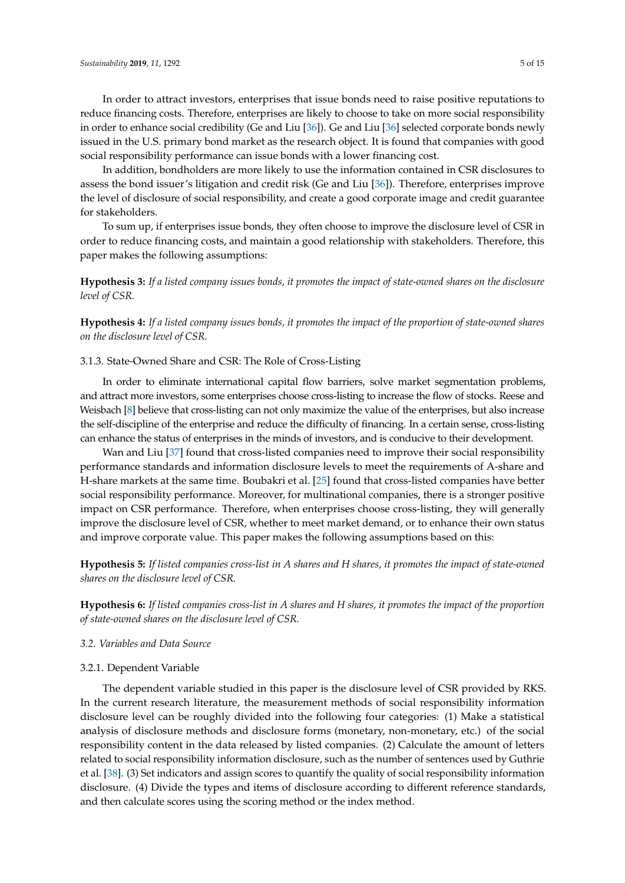In addition, bondholders are more likely to use the information contained in CSR disclosures to assess the bond issuer's litigation and credit risk (Ge and Liu [\[36\]](#page-13-18)). Therefore, enterprises improve the level of disclosure of social responsibility, and create a good corporate image and credit guarantee for stakeholders.

To sum up, if enterprises issue bonds, they often choose to improve the disclosure level of CSR in order to reduce financing costs, and maintain a good relationship with stakeholders. Therefore, this paper makes the following assumptions:

**Hypothesis 3:** *If a listed company issues bonds, it promotes the impact of state-owned shares on the disclosure level of CSR.*

**Hypothesis 4:** *If a listed company issues bonds, it promotes the impact of the proportion of state-owned shares on the disclosure level of CSR.*

## 3.1.3. State-Owned Share and CSR: The Role of Cross-Listing

In order to eliminate international capital flow barriers, solve market segmentation problems, and attract more investors, some enterprises choose cross-listing to increase the flow of stocks. Reese and Weisbach [\[8\]](#page-12-7) believe that cross-listing can not only maximize the value of the enterprises, but also increase the self-discipline of the enterprise and reduce the difficulty of financing. In a certain sense, cross-listing can enhance the status of enterprises in the minds of investors, and is conducive to their development.

Wan and Liu [\[37\]](#page-13-19) found that cross-listed companies need to improve their social responsibility performance standards and information disclosure levels to meet the requirements of A-share and H-share markets at the same time. Boubakri et al. [\[25\]](#page-13-7) found that cross-listed companies have better social responsibility performance. Moreover, for multinational companies, there is a stronger positive impact on CSR performance. Therefore, when enterprises choose cross-listing, they will generally improve the disclosure level of CSR, whether to meet market demand, or to enhance their own status and improve corporate value. This paper makes the following assumptions based on this:

**Hypothesis 5:** *If listed companies cross-list in A shares and H shares, it promotes the impact of state-owned shares on the disclosure level of CSR.*

**Hypothesis 6:** *If listed companies cross-list in A shares and H shares, it promotes the impact of the proportion of state-owned shares on the disclosure level of CSR.*

#### *3.2. Variables and Data Source*

#### 3.2.1. Dependent Variable

The dependent variable studied in this paper is the disclosure level of CSR provided by RKS. In the current research literature, the measurement methods of social responsibility information disclosure level can be roughly divided into the following four categories: (1) Make a statistical analysis of disclosure methods and disclosure forms (monetary, non-monetary, etc.) of the social responsibility content in the data released by listed companies. (2) Calculate the amount of letters related to social responsibility information disclosure, such as the number of sentences used by Guthrie et al. [\[38\]](#page-13-20). (3) Set indicators and assign scores to quantify the quality of social responsibility information disclosure. (4) Divide the types and items of disclosure according to different reference standards, and then calculate scores using the scoring method or the index method.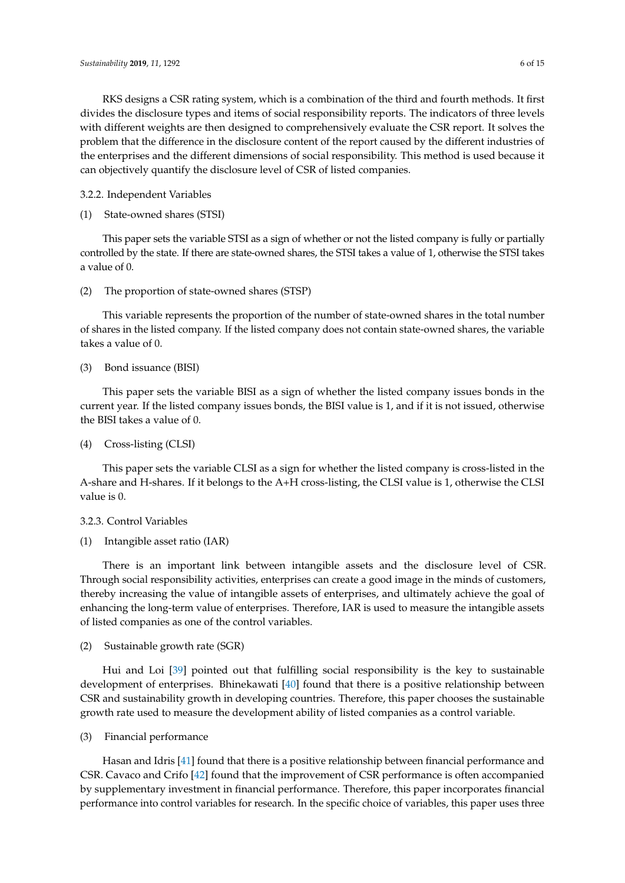RKS designs a CSR rating system, which is a combination of the third and fourth methods. It first divides the disclosure types and items of social responsibility reports. The indicators of three levels with different weights are then designed to comprehensively evaluate the CSR report. It solves the problem that the difference in the disclosure content of the report caused by the different industries of the enterprises and the different dimensions of social responsibility. This method is used because it can objectively quantify the disclosure level of CSR of listed companies.

3.2.2. Independent Variables

(1) State-owned shares (STSI)

This paper sets the variable STSI as a sign of whether or not the listed company is fully or partially controlled by the state. If there are state-owned shares, the STSI takes a value of 1, otherwise the STSI takes a value of 0.

(2) The proportion of state-owned shares (STSP)

This variable represents the proportion of the number of state-owned shares in the total number of shares in the listed company. If the listed company does not contain state-owned shares, the variable takes a value of 0.

```
(3) Bond issuance (BISI)
```
This paper sets the variable BISI as a sign of whether the listed company issues bonds in the current year. If the listed company issues bonds, the BISI value is 1, and if it is not issued, otherwise the BISI takes a value of 0.

(4) Cross-listing (CLSI)

This paper sets the variable CLSI as a sign for whether the listed company is cross-listed in the A-share and H-shares. If it belongs to the A+H cross-listing, the CLSI value is 1, otherwise the CLSI value is 0.

# 3.2.3. Control Variables

(1) Intangible asset ratio (IAR)

There is an important link between intangible assets and the disclosure level of CSR. Through social responsibility activities, enterprises can create a good image in the minds of customers, thereby increasing the value of intangible assets of enterprises, and ultimately achieve the goal of enhancing the long-term value of enterprises. Therefore, IAR is used to measure the intangible assets of listed companies as one of the control variables.

(2) Sustainable growth rate (SGR)

Hui and Loi [\[39\]](#page-13-21) pointed out that fulfilling social responsibility is the key to sustainable development of enterprises. Bhinekawati [\[40\]](#page-13-22) found that there is a positive relationship between CSR and sustainability growth in developing countries. Therefore, this paper chooses the sustainable growth rate used to measure the development ability of listed companies as a control variable.

(3) Financial performance

Hasan and Idris [\[41\]](#page-13-23) found that there is a positive relationship between financial performance and CSR. Cavaco and Crifo [\[42\]](#page-14-0) found that the improvement of CSR performance is often accompanied by supplementary investment in financial performance. Therefore, this paper incorporates financial performance into control variables for research. In the specific choice of variables, this paper uses three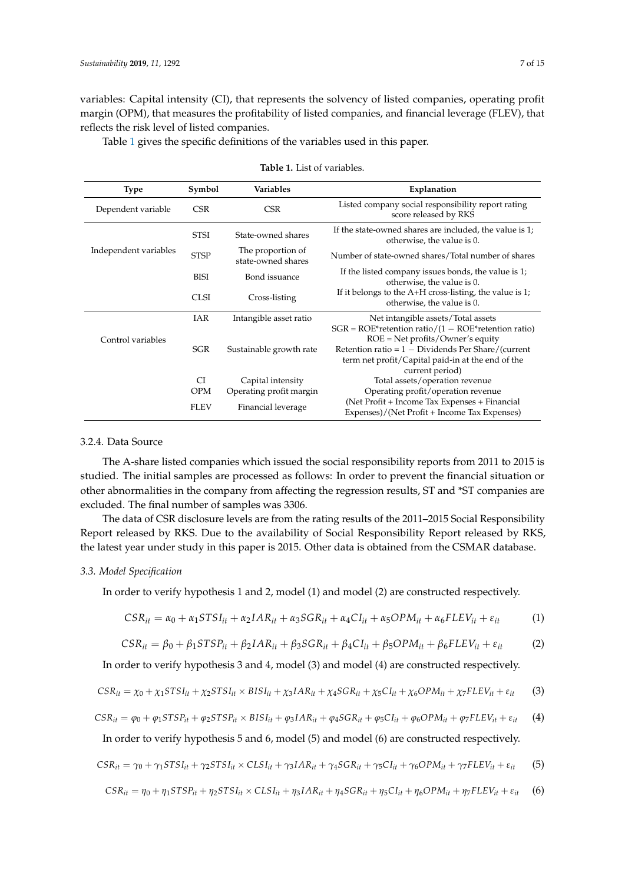variables: Capital intensity (CI), that represents the solvency of listed companies, operating profit margin (OPM), that measures the profitability of listed companies, and financial leverage (FLEV), that reflects the risk level of listed companies.

Table [1](#page-6-0) gives the specific definitions of the variables used in this paper.

<span id="page-6-0"></span>

| <b>Type</b>           | Symbol                   | <b>Variables</b>                        | Explanation                                                                                                                                                                                                                   |  |  |
|-----------------------|--------------------------|-----------------------------------------|-------------------------------------------------------------------------------------------------------------------------------------------------------------------------------------------------------------------------------|--|--|
| Dependent variable    | <b>CSR</b><br><b>CSR</b> |                                         | Listed company social responsibility report rating<br>score released by RKS                                                                                                                                                   |  |  |
|                       | <b>STSI</b>              | State-owned shares                      | If the state-owned shares are included, the value is 1;<br>otherwise, the value is 0.                                                                                                                                         |  |  |
| Independent variables | <b>STSP</b>              | The proportion of<br>state-owned shares | Number of state-owned shares/Total number of shares                                                                                                                                                                           |  |  |
|                       | <b>BISI</b>              | Bond issuance                           | If the listed company issues bonds, the value is 1;<br>otherwise, the value is 0.                                                                                                                                             |  |  |
|                       | <b>CLSI</b>              | Cross-listing                           | If it belongs to the $A+H$ cross-listing, the value is 1;<br>otherwise, the value is 0.                                                                                                                                       |  |  |
|                       | IAR                      | Intangible asset ratio                  | Net intangible assets/Total assets                                                                                                                                                                                            |  |  |
| Control variables     | <b>SGR</b>               | Sustainable growth rate                 | $SGR = ROE*$ retention ratio/(1 – ROE* retention ratio)<br>$ROE = Net profits/Owner's equity$<br>Retention ratio = $1 - Dividends$ Per Share/(current<br>term net profit/Capital paid-in at the end of the<br>current period) |  |  |
|                       | <b>CI</b>                | Capital intensity                       | Total assets/operation revenue                                                                                                                                                                                                |  |  |
|                       | <b>OPM</b>               | Operating profit margin                 | Operating profit/operation revenue                                                                                                                                                                                            |  |  |
|                       | <b>FLEV</b>              | Financial leverage                      | (Net Profit + Income Tax Expenses + Financial<br>Expenses)/(Net Profit + Income Tax Expenses)                                                                                                                                 |  |  |

| <b>Table 1.</b> List of variables. |
|------------------------------------|
|------------------------------------|

## 3.2.4. Data Source

The A-share listed companies which issued the social responsibility reports from 2011 to 2015 is studied. The initial samples are processed as follows: In order to prevent the financial situation or other abnormalities in the company from affecting the regression results, ST and \*ST companies are excluded. The final number of samples was 3306.

The data of CSR disclosure levels are from the rating results of the 2011–2015 Social Responsibility Report released by RKS. Due to the availability of Social Responsibility Report released by RKS, the latest year under study in this paper is 2015. Other data is obtained from the CSMAR database.

#### *3.3. Model Specification*

In order to verify hypothesis 1 and 2, model (1) and model (2) are constructed respectively.

$$
CSR_{it} = \alpha_0 + \alpha_1 STSI_{it} + \alpha_2 IAR_{it} + \alpha_3 SGR_{it} + \alpha_4 CI_{it} + \alpha_5 OPM_{it} + \alpha_6 FLEV_{it} + \varepsilon_{it}
$$
 (1)

$$
CSR_{it} = \beta_0 + \beta_1 STSP_{it} + \beta_2 IAR_{it} + \beta_3 SGR_{it} + \beta_4 CI_{it} + \beta_5 OPM_{it} + \beta_6 FLEV_{it} + \varepsilon_{it}
$$
 (2)

In order to verify hypothesis 3 and 4, model (3) and model (4) are constructed respectively.

$$
CSR_{it} = \chi_0 + \chi_1 STSI_{it} + \chi_2 STSI_{it} \times BISI_{it} + \chi_3 IAR_{it} + \chi_4 SGR_{it} + \chi_5 CI_{it} + \chi_6 OPM_{it} + \chi_7 FLEV_{it} + \epsilon_{it}
$$
 (3)

$$
CSR_{it} = \varphi_0 + \varphi_1 STSP_{it} + \varphi_2 STSP_{it} \times BISI_{it} + \varphi_3 IAR_{it} + \varphi_4 SGR_{it} + \varphi_5 CI_{it} + \varphi_6 OPM_{it} + \varphi_7 FLEV_{it} + \varepsilon_{it}
$$
 (4)

In order to verify hypothesis 5 and 6, model (5) and model (6) are constructed respectively.

$$
CSR_{it} = \gamma_0 + \gamma_1 STSI_{it} + \gamma_2 STSI_{it} \times CLSI_{it} + \gamma_3 IAR_{it} + \gamma_4 SGR_{it} + \gamma_5 CI_{it} + \gamma_6 OPM_{it} + \gamma_7 FLEV_{it} + \varepsilon_{it}
$$
 (5)

$$
CSR_{it}=\eta_0+\eta_1STSP_{it}+\eta_2STSI_{it}\times CLSI_{it}+\eta_3IAR_{it}+\eta_4SGR_{it}+\eta_5CI_{it}+\eta_6OPM_{it}+\eta_7FLEV_{it}+\epsilon_{it}\quad (6)
$$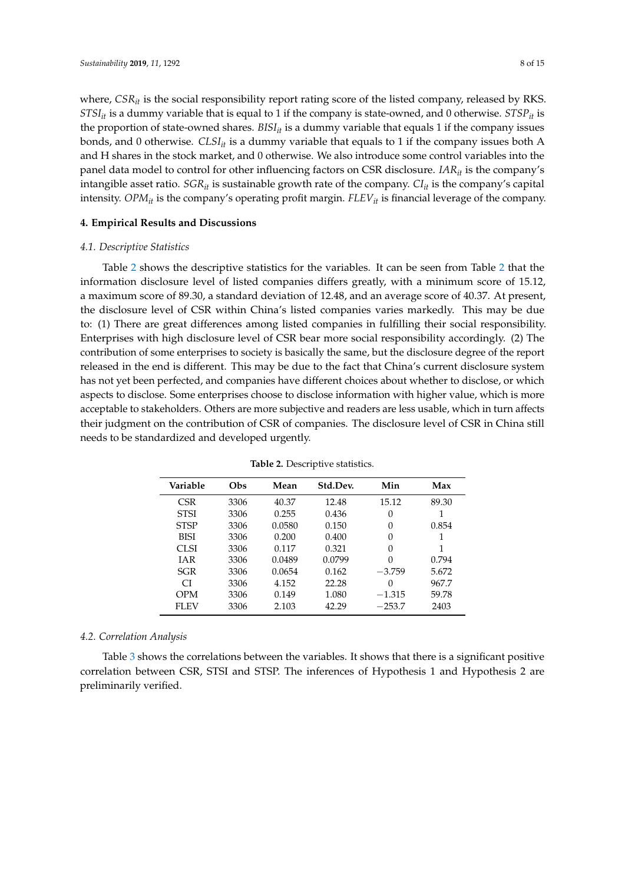where, *CSRit* is the social responsibility report rating score of the listed company, released by RKS. *STSI*<sup>*i*</sup> is a dummy variable that is equal to 1 if the company is state-owned, and 0 otherwise. *STSP*<sup>*i*</sup> is the proportion of state-owned shares.  $BISI_{it}$  is a dummy variable that equals 1 if the company issues bonds, and 0 otherwise. *CLSIit* is a dummy variable that equals to 1 if the company issues both A and H shares in the stock market, and 0 otherwise. We also introduce some control variables into the panel data model to control for other influencing factors on CSR disclosure. *IARit* is the company's intangible asset ratio.  $SGR_i$  is sustainable growth rate of the company.  $CI_{it}$  is the company's capital intensity. *OPM*<sub>*it*</sub> is the company's operating profit margin. *FLEV*<sub>*it*</sub> is financial leverage of the company.

## <span id="page-7-0"></span>**4. Empirical Results and Discussions**

#### *4.1. Descriptive Statistics*

Table [2](#page-7-1) shows the descriptive statistics for the variables. It can be seen from Table [2](#page-7-1) that the information disclosure level of listed companies differs greatly, with a minimum score of 15.12, a maximum score of 89.30, a standard deviation of 12.48, and an average score of 40.37. At present, the disclosure level of CSR within China's listed companies varies markedly. This may be due to: (1) There are great differences among listed companies in fulfilling their social responsibility. Enterprises with high disclosure level of CSR bear more social responsibility accordingly. (2) The contribution of some enterprises to society is basically the same, but the disclosure degree of the report released in the end is different. This may be due to the fact that China's current disclosure system has not yet been perfected, and companies have different choices about whether to disclose, or which aspects to disclose. Some enterprises choose to disclose information with higher value, which is more acceptable to stakeholders. Others are more subjective and readers are less usable, which in turn affects their judgment on the contribution of CSR of companies. The disclosure level of CSR in China still needs to be standardized and developed urgently.

<span id="page-7-1"></span>

| Variable      | Obs  | Mean   | Std.Dev. | Min      | Max   |
|---------------|------|--------|----------|----------|-------|
| <b>CSR</b>    | 3306 | 40.37  | 12.48    | 15.12    | 89.30 |
| <b>STSI</b>   | 3306 | 0.255  | 0.436    | 0        |       |
| <b>STSP</b>   | 3306 | 0.0580 | 0.150    | $\Omega$ | 0.854 |
| <b>BISI</b>   | 3306 | 0.200  | 0.400    | $\Omega$ |       |
| CL SI         | 3306 | 0.117  | 0.321    | $\Omega$ | 1     |
| <b>IAR</b>    | 3306 | 0.0489 | 0.0799   | $\Omega$ | 0.794 |
| SGR           | 3306 | 0.0654 | 0.162    | $-3.759$ | 5.672 |
| <sup>CT</sup> | 3306 | 4.152  | 22.28    | 0        | 967.7 |
| <b>OPM</b>    | 3306 | 0.149  | 1.080    | $-1.315$ | 59.78 |
| <b>FLEV</b>   | 3306 | 2.103  | 42.29    | $-253.7$ | 2403  |

**Table 2.** Descriptive statistics.

#### *4.2. Correlation Analysis*

Table [3](#page-8-0) shows the correlations between the variables. It shows that there is a significant positive correlation between CSR, STSI and STSP. The inferences of Hypothesis 1 and Hypothesis 2 are preliminarily verified.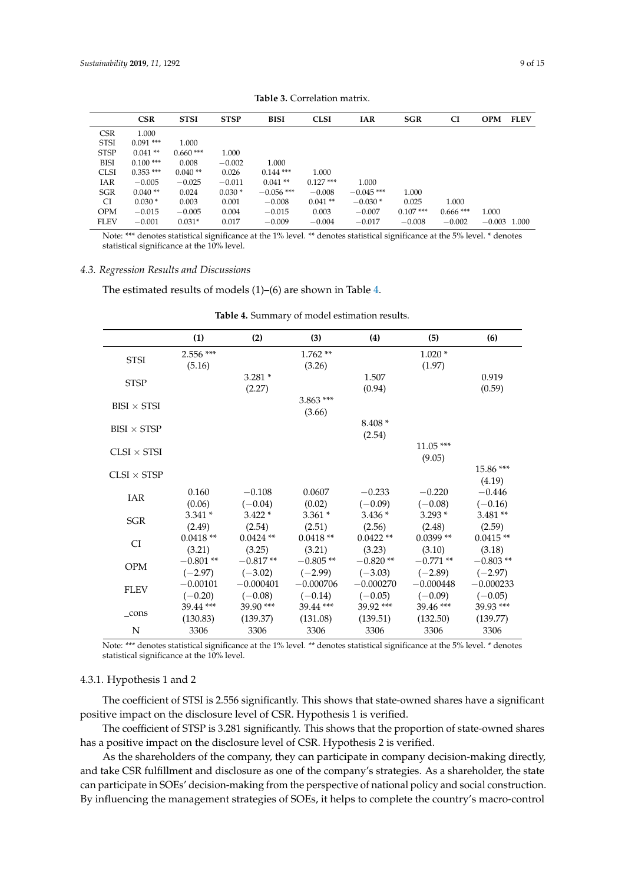<span id="page-8-0"></span>

|             | <b>CSR</b>  | <b>STSI</b> | <b>STSP</b> | <b>BISI</b>  | <b>CLSI</b> | <b>IAR</b>   | <b>SGR</b> | CI          | <b>OPM</b> | <b>FLEV</b> |
|-------------|-------------|-------------|-------------|--------------|-------------|--------------|------------|-------------|------------|-------------|
| <b>CSR</b>  | 1.000       |             |             |              |             |              |            |             |            |             |
| <b>STSI</b> | $0.091$ *** | 1.000       |             |              |             |              |            |             |            |             |
| <b>STSP</b> | $0.041**$   | $0.660$ *** | 1.000       |              |             |              |            |             |            |             |
| <b>BISI</b> | $0.100$ *** | 0.008       | $-0.002$    | 1.000        |             |              |            |             |            |             |
| <b>CLSI</b> | $0.353***$  | $0.040**$   | 0.026       | $0.144$ ***  | 1.000       |              |            |             |            |             |
| IAR         | $-0.005$    | $-0.025$    | $-0.011$    | $0.041**$    | $0.127***$  | 1.000        |            |             |            |             |
| SGR         | $0.040**$   | 0.024       | $0.030*$    | $-0.056$ *** | $-0.008$    | $-0.045$ *** | 1.000      |             |            |             |
| CI          | $0.030*$    | 0.003       | 0.001       | $-0.008$     | $0.041**$   | $-0.030*$    | 0.025      | 1.000       |            |             |
| <b>OPM</b>  | $-0.015$    | $-0.005$    | 0.004       | $-0.015$     | 0.003       | $-0.007$     | $0.107***$ | $0.666$ *** | 1.000      |             |
| <b>FLEV</b> | $-0.001$    | $0.031*$    | 0.017       | $-0.009$     | $-0.004$    | $-0.017$     | $-0.008$   | $-0.002$    | $-0.003$   | 1.000       |
|             |             |             |             |              |             |              |            |             |            |             |

**Table 3.** Correlation matrix.

Note: \*\*\* denotes statistical significance at the 1% level. \*\* denotes statistical significance at the 5% level. \* denotes statistical significance at the 10% level.

#### *4.3. Regression Results and Discussions*

<span id="page-8-1"></span>The estimated results of models (1)–(6) are shown in Table [4.](#page-8-1)

|                    | (1)         | (2)         | (3)         | (4)         | (5)         | (6)         |
|--------------------|-------------|-------------|-------------|-------------|-------------|-------------|
|                    | $2.556$ *** |             | $1.762**$   |             | $1.020*$    |             |
| <b>STSI</b>        | (5.16)      |             | (3.26)      |             | (1.97)      |             |
| <b>STSP</b>        |             | $3.281*$    |             | 1.507       |             | 0.919       |
|                    |             | (2.27)      |             | (0.94)      |             | (0.59)      |
| $BISI \times STSI$ |             |             | $3.863$ *** |             |             |             |
|                    |             |             | (3.66)      |             |             |             |
| $BISI \times STSP$ |             |             |             | $8.408*$    |             |             |
|                    |             |             |             | (2.54)      |             |             |
| $CLSI \times STSI$ |             |             |             |             | $11.05***$  |             |
|                    |             |             |             |             | (9.05)      |             |
| $CLSI \times STSP$ |             |             |             |             |             | 15.86 ***   |
|                    |             |             |             |             |             | (4.19)      |
| <b>IAR</b>         | 0.160       | $-0.108$    | 0.0607      | $-0.233$    | $-0.220$    | $-0.446$    |
|                    | (0.06)      | $(-0.04)$   | (0.02)      | $(-0.09)$   | $(-0.08)$   | $(-0.16)$   |
| <b>SGR</b>         | $3.341*$    | $3.422*$    | $3.361*$    | $3.436*$    | $3.293*$    | $3.481**$   |
|                    | (2.49)      | (2.54)      | (2.51)      | (2.56)      | (2.48)      | (2.59)      |
| CI                 | $0.0418**$  | $0.0424$ ** | $0.0418**$  | $0.0422**$  | $0.0399**$  | $0.0415**$  |
|                    | (3.21)      | (3.25)      | (3.21)      | (3.23)      | (3.10)      | (3.18)      |
| <b>OPM</b>         | $-0.801**$  | $-0.817**$  | $-0.805**$  | $-0.820**$  | $-0.771**$  | $-0.803**$  |
|                    | $(-2.97)$   | $(-3.02)$   | $(-2.99)$   | $(-3.03)$   | $(-2.89)$   | $(-2.97)$   |
| <b>FLEV</b>        | $-0.00101$  | $-0.000401$ | $-0.000706$ | $-0.000270$ | $-0.000448$ | $-0.000233$ |
|                    | $(-0.20)$   | $(-0.08)$   | $(-0.14)$   | $(-0.05)$   | $(-0.09)$   | $(-0.05)$   |
| _cons              | 39.44 ***   | $39.90$ *** | 39.44 ***   | 39.92 ***   | $39.46$ *** | 39.93 ***   |
|                    | (130.83)    | (139.37)    | (131.08)    | (139.51)    | (132.50)    | (139.77)    |
| ${\bf N}$          | 3306        | 3306        | 3306        | 3306        | 3306        | 3306        |

**Table 4.** Summary of model estimation results.

Note: \*\*\* denotes statistical significance at the 1% level. \*\* denotes statistical significance at the 5% level. \* denotes statistical significance at the 10% level.

## 4.3.1. Hypothesis 1 and 2

The coefficient of STSI is 2.556 significantly. This shows that state-owned shares have a significant positive impact on the disclosure level of CSR. Hypothesis 1 is verified.

The coefficient of STSP is 3.281 significantly. This shows that the proportion of state-owned shares has a positive impact on the disclosure level of CSR. Hypothesis 2 is verified.

As the shareholders of the company, they can participate in company decision-making directly, and take CSR fulfillment and disclosure as one of the company's strategies. As a shareholder, the state can participate in SOEs' decision-making from the perspective of national policy and social construction. By influencing the management strategies of SOEs, it helps to complete the country's macro-control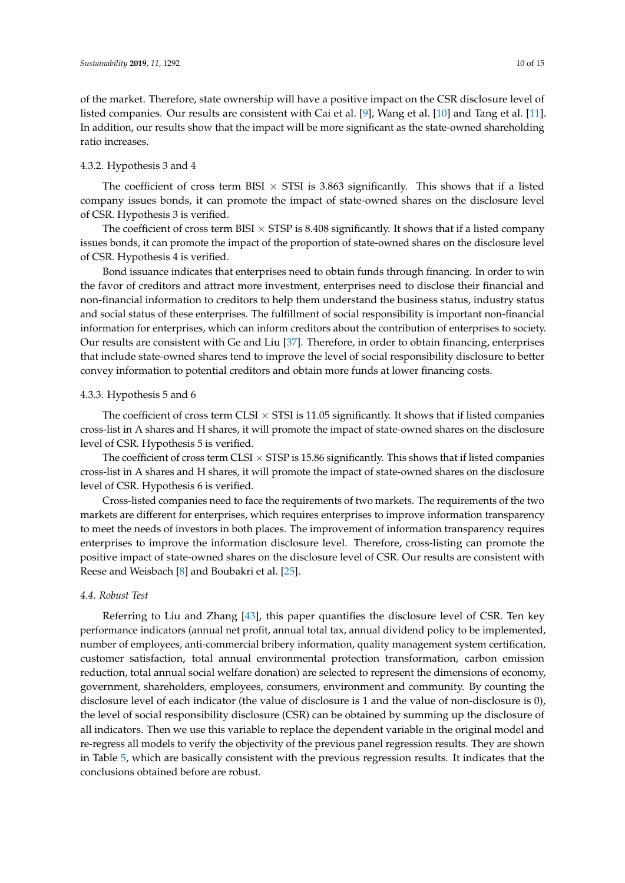of the market. Therefore, state ownership will have a positive impact on the CSR disclosure level of listed companies. Our results are consistent with Cai et al. [\[9\]](#page-12-8), Wang et al. [\[10\]](#page-12-9) and Tang et al. [\[11\]](#page-12-10). In addition, our results show that the impact will be more significant as the state-owned shareholding ratio increases.

## 4.3.2. Hypothesis 3 and 4

The coefficient of cross term BISI  $\times$  STSI is 3.863 significantly. This shows that if a listed company issues bonds, it can promote the impact of state-owned shares on the disclosure level of CSR. Hypothesis 3 is verified.

The coefficient of cross term BISI  $\times$  STSP is 8.408 significantly. It shows that if a listed company issues bonds, it can promote the impact of the proportion of state-owned shares on the disclosure level of CSR. Hypothesis 4 is verified.

Bond issuance indicates that enterprises need to obtain funds through financing. In order to win the favor of creditors and attract more investment, enterprises need to disclose their financial and non-financial information to creditors to help them understand the business status, industry status and social status of these enterprises. The fulfillment of social responsibility is important non-financial information for enterprises, which can inform creditors about the contribution of enterprises to society. Our results are consistent with Ge and Liu [\[37\]](#page-13-19). Therefore, in order to obtain financing, enterprises that include state-owned shares tend to improve the level of social responsibility disclosure to better convey information to potential creditors and obtain more funds at lower financing costs.

## 4.3.3. Hypothesis 5 and 6

The coefficient of cross term CLSI  $\times$  STSI is 11.05 significantly. It shows that if listed companies cross-list in A shares and H shares, it will promote the impact of state-owned shares on the disclosure level of CSR. Hypothesis 5 is verified.

The coefficient of cross term CLSI  $\times$  STSP is 15.86 significantly. This shows that if listed companies cross-list in A shares and H shares, it will promote the impact of state-owned shares on the disclosure level of CSR. Hypothesis 6 is verified.

Cross-listed companies need to face the requirements of two markets. The requirements of the two markets are different for enterprises, which requires enterprises to improve information transparency to meet the needs of investors in both places. The improvement of information transparency requires enterprises to improve the information disclosure level. Therefore, cross-listing can promote the positive impact of state-owned shares on the disclosure level of CSR. Our results are consistent with Reese and Weisbach [\[8\]](#page-12-7) and Boubakri et al. [\[25\]](#page-13-7).

#### *4.4. Robust Test*

Referring to Liu and Zhang [\[43\]](#page-14-1), this paper quantifies the disclosure level of CSR. Ten key performance indicators (annual net profit, annual total tax, annual dividend policy to be implemented, number of employees, anti-commercial bribery information, quality management system certification, customer satisfaction, total annual environmental protection transformation, carbon emission reduction, total annual social welfare donation) are selected to represent the dimensions of economy, government, shareholders, employees, consumers, environment and community. By counting the disclosure level of each indicator (the value of disclosure is 1 and the value of non-disclosure is 0), the level of social responsibility disclosure (CSR) can be obtained by summing up the disclosure of all indicators. Then we use this variable to replace the dependent variable in the original model and re-regress all models to verify the objectivity of the previous panel regression results. They are shown in Table [5,](#page-10-1) which are basically consistent with the previous regression results. It indicates that the conclusions obtained before are robust.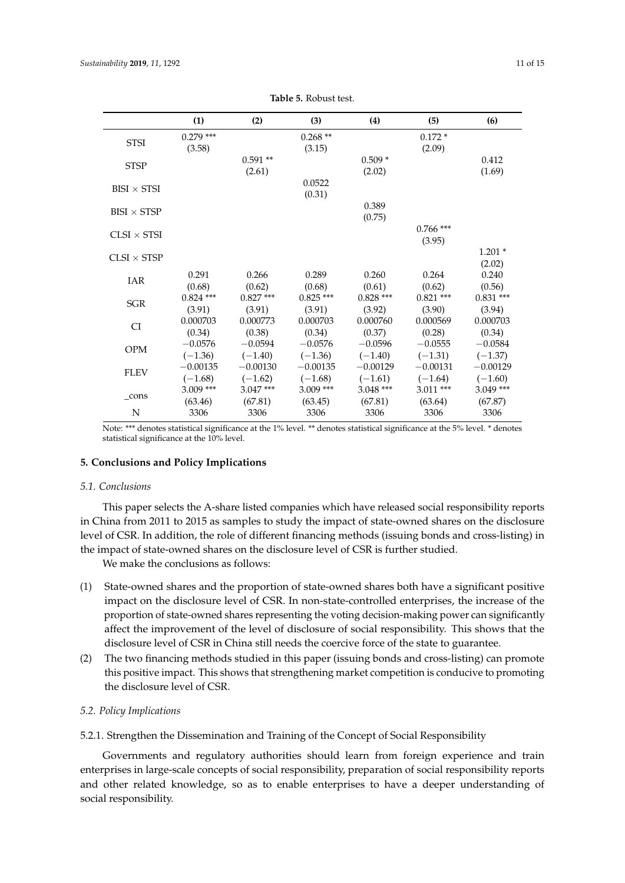<span id="page-10-1"></span>

| (6)<br>0.412<br>(1.69) |
|------------------------|
|                        |
|                        |
|                        |
|                        |
|                        |
|                        |
|                        |
|                        |
|                        |
|                        |
|                        |
| $1.201*$               |
| (2.02)                 |
| 0.240                  |
| (0.56)                 |
| $0.831$ ***            |
| (3.94)                 |
| 0.000703               |
| (0.34)                 |
| $-0.0584$              |
| $(-1.37)$              |
| $-0.00129$             |
| $(-1.60)$              |
| $3.049$ ***            |
| (67.87)                |
| 3306                   |
|                        |

**Table 5.** Robust test.

Note: \*\*\* denotes statistical significance at the 1% level. \*\* denotes statistical significance at the 5% level. \* denotes statistical significance at the 10% level.

## <span id="page-10-0"></span>**5. Conclusions and Policy Implications**

#### *5.1. Conclusions*

This paper selects the A-share listed companies which have released social responsibility reports in China from 2011 to 2015 as samples to study the impact of state-owned shares on the disclosure level of CSR. In addition, the role of different financing methods (issuing bonds and cross-listing) in the impact of state-owned shares on the disclosure level of CSR is further studied.

We make the conclusions as follows:

- (1) State-owned shares and the proportion of state-owned shares both have a significant positive impact on the disclosure level of CSR. In non-state-controlled enterprises, the increase of the proportion of state-owned shares representing the voting decision-making power can significantly affect the improvement of the level of disclosure of social responsibility. This shows that the disclosure level of CSR in China still needs the coercive force of the state to guarantee.
- (2) The two financing methods studied in this paper (issuing bonds and cross-listing) can promote this positive impact. This shows that strengthening market competition is conducive to promoting the disclosure level of CSR.

## *5.2. Policy Implications*

5.2.1. Strengthen the Dissemination and Training of the Concept of Social Responsibility

Governments and regulatory authorities should learn from foreign experience and train enterprises in large-scale concepts of social responsibility, preparation of social responsibility reports and other related knowledge, so as to enable enterprises to have a deeper understanding of social responsibility.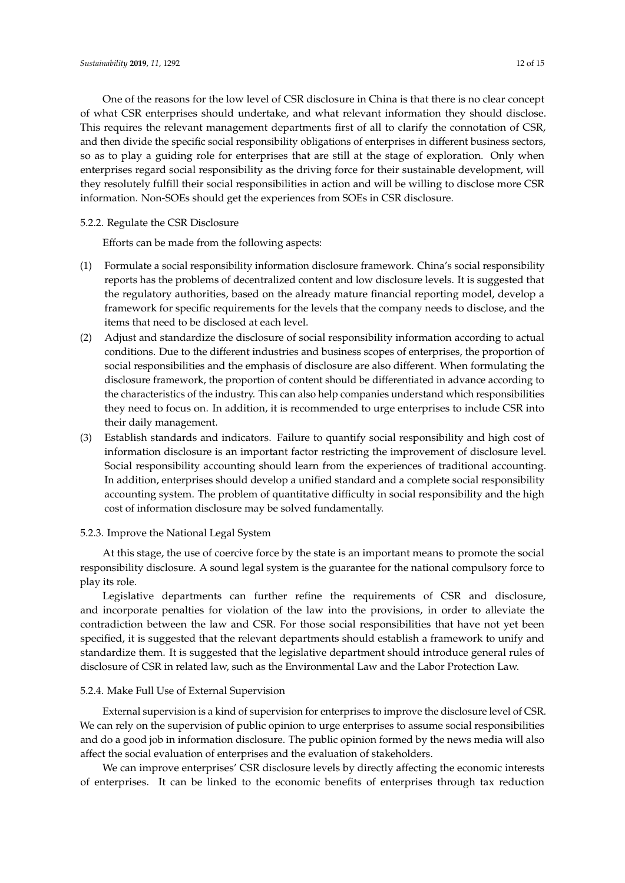One of the reasons for the low level of CSR disclosure in China is that there is no clear concept of what CSR enterprises should undertake, and what relevant information they should disclose. This requires the relevant management departments first of all to clarify the connotation of CSR, and then divide the specific social responsibility obligations of enterprises in different business sectors, so as to play a guiding role for enterprises that are still at the stage of exploration. Only when enterprises regard social responsibility as the driving force for their sustainable development, will they resolutely fulfill their social responsibilities in action and will be willing to disclose more CSR information. Non-SOEs should get the experiences from SOEs in CSR disclosure.

## 5.2.2. Regulate the CSR Disclosure

Efforts can be made from the following aspects:

- (1) Formulate a social responsibility information disclosure framework. China's social responsibility reports has the problems of decentralized content and low disclosure levels. It is suggested that the regulatory authorities, based on the already mature financial reporting model, develop a framework for specific requirements for the levels that the company needs to disclose, and the items that need to be disclosed at each level.
- (2) Adjust and standardize the disclosure of social responsibility information according to actual conditions. Due to the different industries and business scopes of enterprises, the proportion of social responsibilities and the emphasis of disclosure are also different. When formulating the disclosure framework, the proportion of content should be differentiated in advance according to the characteristics of the industry. This can also help companies understand which responsibilities they need to focus on. In addition, it is recommended to urge enterprises to include CSR into their daily management.
- (3) Establish standards and indicators. Failure to quantify social responsibility and high cost of information disclosure is an important factor restricting the improvement of disclosure level. Social responsibility accounting should learn from the experiences of traditional accounting. In addition, enterprises should develop a unified standard and a complete social responsibility accounting system. The problem of quantitative difficulty in social responsibility and the high cost of information disclosure may be solved fundamentally.

## 5.2.3. Improve the National Legal System

At this stage, the use of coercive force by the state is an important means to promote the social responsibility disclosure. A sound legal system is the guarantee for the national compulsory force to play its role.

Legislative departments can further refine the requirements of CSR and disclosure, and incorporate penalties for violation of the law into the provisions, in order to alleviate the contradiction between the law and CSR. For those social responsibilities that have not yet been specified, it is suggested that the relevant departments should establish a framework to unify and standardize them. It is suggested that the legislative department should introduce general rules of disclosure of CSR in related law, such as the Environmental Law and the Labor Protection Law.

## 5.2.4. Make Full Use of External Supervision

External supervision is a kind of supervision for enterprises to improve the disclosure level of CSR. We can rely on the supervision of public opinion to urge enterprises to assume social responsibilities and do a good job in information disclosure. The public opinion formed by the news media will also affect the social evaluation of enterprises and the evaluation of stakeholders.

We can improve enterprises' CSR disclosure levels by directly affecting the economic interests of enterprises. It can be linked to the economic benefits of enterprises through tax reduction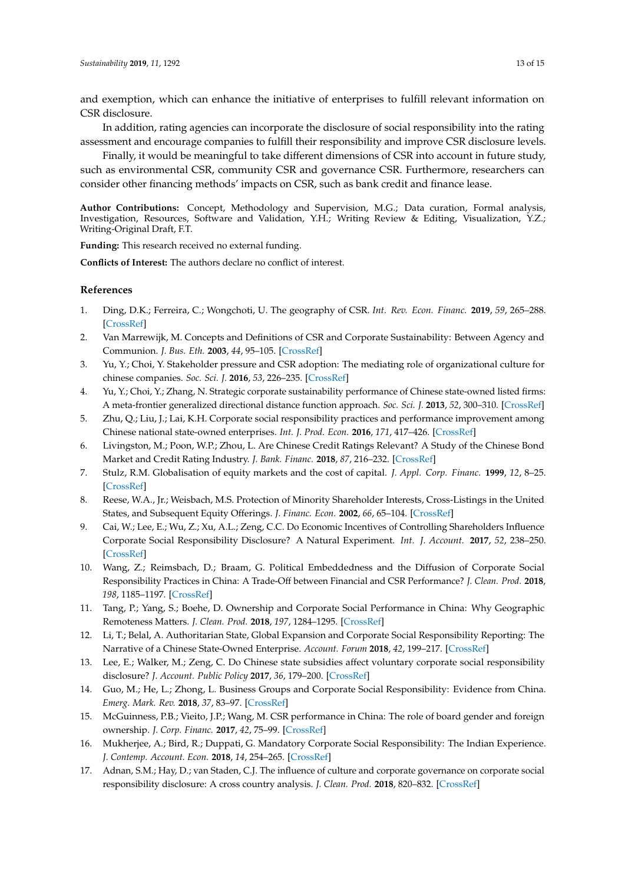and exemption, which can enhance the initiative of enterprises to fulfill relevant information on CSR disclosure.

In addition, rating agencies can incorporate the disclosure of social responsibility into the rating assessment and encourage companies to fulfill their responsibility and improve CSR disclosure levels.

Finally, it would be meaningful to take different dimensions of CSR into account in future study, such as environmental CSR, community CSR and governance CSR. Furthermore, researchers can consider other financing methods' impacts on CSR, such as bank credit and finance lease.

**Author Contributions:** Concept, Methodology and Supervision, M.G.; Data curation, Formal analysis, Investigation, Resources, Software and Validation, Y.H.; Writing Review & Editing, Visualization, Y.Z.; Writing-Original Draft, F.T.

**Funding:** This research received no external funding.

**Conflicts of Interest:** The authors declare no conflict of interest.

## **References**

- <span id="page-12-0"></span>1. Ding, D.K.; Ferreira, C.; Wongchoti, U. The geography of CSR. *Int. Rev. Econ. Financ.* **2019**, *59*, 265–288. [\[CrossRef\]](http://dx.doi.org/10.1016/j.iref.2018.09.003)
- <span id="page-12-1"></span>2. Van Marrewijk, M. Concepts and Definitions of CSR and Corporate Sustainability: Between Agency and Communion. *J. Bus. Eth.* **2003**, *44*, 95–105. [\[CrossRef\]](http://dx.doi.org/10.1023/A:1023331212247)
- <span id="page-12-2"></span>3. Yu, Y.; Choi, Y. Stakeholder pressure and CSR adoption: The mediating role of organizational culture for chinese companies. *Soc. Sci. J.* **2016**, *53*, 226–235. [\[CrossRef\]](http://dx.doi.org/10.1016/j.soscij.2014.07.006)
- <span id="page-12-3"></span>4. Yu, Y.; Choi, Y.; Zhang, N. Strategic corporate sustainability performance of Chinese state-owned listed firms: A meta-frontier generalized directional distance function approach. *Soc. Sci. J.* **2013**, *52*, 300–310. [\[CrossRef\]](http://dx.doi.org/10.1016/j.soscij.2013.07.010)
- <span id="page-12-4"></span>5. Zhu, Q.; Liu, J.; Lai, K.H. Corporate social responsibility practices and performance improvement among Chinese national state-owned enterprises. *Int. J. Prod. Econ.* **2016**, *171*, 417–426. [\[CrossRef\]](http://dx.doi.org/10.1016/j.ijpe.2015.08.005)
- <span id="page-12-5"></span>6. Livingston, M.; Poon, W.P.; Zhou, L. Are Chinese Credit Ratings Relevant? A Study of the Chinese Bond Market and Credit Rating Industry. *J. Bank. Financ.* **2018**, *87*, 216–232. [\[CrossRef\]](http://dx.doi.org/10.1016/j.jbankfin.2017.09.020)
- <span id="page-12-6"></span>7. Stulz, R.M. Globalisation of equity markets and the cost of capital. *J. Appl. Corp. Financ.* **1999**, *12*, 8–25. [\[CrossRef\]](http://dx.doi.org/10.1111/j.1745-6622.1999.tb00027.x)
- <span id="page-12-7"></span>8. Reese, W.A., Jr.; Weisbach, M.S. Protection of Minority Shareholder Interests, Cross-Listings in the United States, and Subsequent Equity Offerings. *J. Financ. Econ.* **2002**, *66*, 65–104. [\[CrossRef\]](http://dx.doi.org/10.1016/S0304-405X(02)00151-4)
- <span id="page-12-8"></span>9. Cai, W.; Lee, E.; Wu, Z.; Xu, A.L.; Zeng, C.C. Do Economic Incentives of Controlling Shareholders Influence Corporate Social Responsibility Disclosure? A Natural Experiment. *Int. J. Account.* **2017**, *52*, 238–250. [\[CrossRef\]](http://dx.doi.org/10.1016/j.intacc.2017.07.002)
- <span id="page-12-9"></span>10. Wang, Z.; Reimsbach, D.; Braam, G. Political Embeddedness and the Diffusion of Corporate Social Responsibility Practices in China: A Trade-Off between Financial and CSR Performance? *J. Clean. Prod.* **2018**, *198*, 1185–1197. [\[CrossRef\]](http://dx.doi.org/10.1016/j.jclepro.2018.07.116)
- <span id="page-12-10"></span>11. Tang, P.; Yang, S.; Boehe, D. Ownership and Corporate Social Performance in China: Why Geographic Remoteness Matters. *J. Clean. Prod.* **2018**, *197*, 1284–1295. [\[CrossRef\]](http://dx.doi.org/10.1016/j.jclepro.2018.06.288)
- <span id="page-12-11"></span>12. Li, T.; Belal, A. Authoritarian State, Global Expansion and Corporate Social Responsibility Reporting: The Narrative of a Chinese State-Owned Enterprise. *Account. Forum* **2018**, *42*, 199–217. [\[CrossRef\]](http://dx.doi.org/10.1016/j.accfor.2018.05.002)
- <span id="page-12-12"></span>13. Lee, E.; Walker, M.; Zeng, C. Do Chinese state subsidies affect voluntary corporate social responsibility disclosure? *J. Account. Public Policy* **2017**, *36*, 179–200. [\[CrossRef\]](http://dx.doi.org/10.1016/j.jaccpubpol.2017.03.004)
- <span id="page-12-13"></span>14. Guo, M.; He, L.; Zhong, L. Business Groups and Corporate Social Responsibility: Evidence from China. *Emerg. Mark. Rev.* **2018**, *37*, 83–97. [\[CrossRef\]](http://dx.doi.org/10.1016/j.ememar.2018.05.002)
- <span id="page-12-14"></span>15. McGuinness, P.B.; Vieito, J.P.; Wang, M. CSR performance in China: The role of board gender and foreign ownership. *J. Corp. Financ.* **2017**, *42*, 75–99. [\[CrossRef\]](http://dx.doi.org/10.1016/j.jcorpfin.2016.11.001)
- <span id="page-12-15"></span>16. Mukherjee, A.; Bird, R.; Duppati, G. Mandatory Corporate Social Responsibility: The Indian Experience. *J. Contemp. Account. Econ.* **2018**, *14*, 254–265. [\[CrossRef\]](http://dx.doi.org/10.1016/j.jcae.2018.06.002)
- <span id="page-12-16"></span>17. Adnan, S.M.; Hay, D.; van Staden, C.J. The influence of culture and corporate governance on corporate social responsibility disclosure: A cross country analysis. *J. Clean. Prod.* **2018**, 820–832. [\[CrossRef\]](http://dx.doi.org/10.1016/j.jclepro.2018.07.057)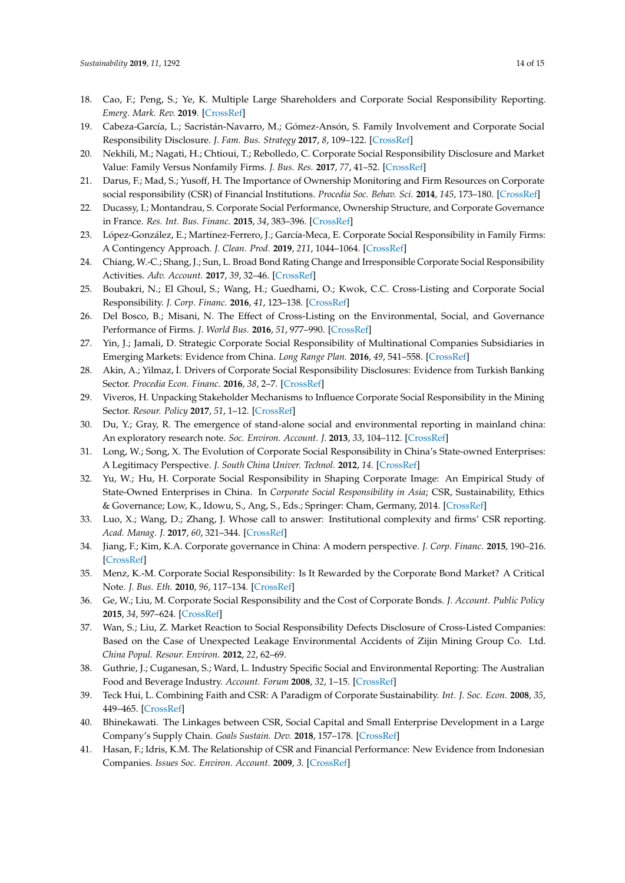- <span id="page-13-0"></span>18. Cao, F.; Peng, S.; Ye, K. Multiple Large Shareholders and Corporate Social Responsibility Reporting. *Emerg. Mark. Rev.* **2019**. [\[CrossRef\]](http://dx.doi.org/10.1016/j.ememar.2019.02.004)
- <span id="page-13-1"></span>19. Cabeza-García, L.; Sacristán-Navarro, M.; Gómez-Ansón, S. Family Involvement and Corporate Social Responsibility Disclosure. *J. Fam. Bus. Strategy* **2017**, *8*, 109–122. [\[CrossRef\]](http://dx.doi.org/10.1016/j.jfbs.2017.04.002)
- <span id="page-13-2"></span>20. Nekhili, M.; Nagati, H.; Chtioui, T.; Rebolledo, C. Corporate Social Responsibility Disclosure and Market Value: Family Versus Nonfamily Firms. *J. Bus. Res.* **2017**, *77*, 41–52. [\[CrossRef\]](http://dx.doi.org/10.1016/j.jbusres.2017.04.001)
- <span id="page-13-3"></span>21. Darus, F.; Mad, S.; Yusoff, H. The Importance of Ownership Monitoring and Firm Resources on Corporate social responsibility (CSR) of Financial Institutions. *Procedia Soc. Behav. Sci.* **2014**, *145*, 173–180. [\[CrossRef\]](http://dx.doi.org/10.1016/j.sbspro.2014.06.024)
- <span id="page-13-4"></span>22. Ducassy, I.; Montandrau, S. Corporate Social Performance, Ownership Structure, and Corporate Governance in France. *Res. Int. Bus. Financ.* **2015**, *34*, 383–396. [\[CrossRef\]](http://dx.doi.org/10.1016/j.ribaf.2015.02.002)
- <span id="page-13-5"></span>23. López-González, E.; Martínez-Ferrero, J.; García-Meca, E. Corporate Social Responsibility in Family Firms: A Contingency Approach. *J. Clean. Prod.* **2019**, *211*, 1044–1064. [\[CrossRef\]](http://dx.doi.org/10.1016/j.jclepro.2018.11.251)
- <span id="page-13-6"></span>24. Chiang, W.-C.; Shang, J.; Sun, L. Broad Bond Rating Change and Irresponsible Corporate Social Responsibility Activities. *Adv. Account.* **2017**, *39*, 32–46. [\[CrossRef\]](http://dx.doi.org/10.1016/j.adiac.2017.09.002)
- <span id="page-13-7"></span>25. Boubakri, N.; El Ghoul, S.; Wang, H.; Guedhami, O.; Kwok, C.C. Cross-Listing and Corporate Social Responsibility. *J. Corp. Financ.* **2016**, *41*, 123–138. [\[CrossRef\]](http://dx.doi.org/10.1016/j.jcorpfin.2016.08.008)
- <span id="page-13-8"></span>26. Del Bosco, B.; Misani, N. The Effect of Cross-Listing on the Environmental, Social, and Governance Performance of Firms. *J. World Bus.* **2016**, *51*, 977–990. [\[CrossRef\]](http://dx.doi.org/10.1016/j.jwb.2016.08.002)
- <span id="page-13-9"></span>27. Yin, J.; Jamali, D. Strategic Corporate Social Responsibility of Multinational Companies Subsidiaries in Emerging Markets: Evidence from China. *Long Range Plan.* **2016**, *49*, 541–558. [\[CrossRef\]](http://dx.doi.org/10.1016/j.lrp.2015.12.024)
- <span id="page-13-10"></span>28. Akin, A.; Yilmaz, İ. Drivers of Corporate Social Responsibility Disclosures: Evidence from Turkish Banking Sector. *Procedia Econ. Financ.* **2016**, *38*, 2–7. [\[CrossRef\]](http://dx.doi.org/10.1016/S2212-5671(16)30171-X)
- <span id="page-13-11"></span>29. Viveros, H. Unpacking Stakeholder Mechanisms to Influence Corporate Social Responsibility in the Mining Sector. *Resour. Policy* **2017**, *51*, 1–12. [\[CrossRef\]](http://dx.doi.org/10.1016/j.resourpol.2016.10.014)
- <span id="page-13-12"></span>30. Du, Y.; Gray, R. The emergence of stand-alone social and environmental reporting in mainland china: An exploratory research note. *Soc. Environ. Account. J.* **2013**, *33*, 104–112. [\[CrossRef\]](http://dx.doi.org/10.1080/0969160X.2012.743257)
- <span id="page-13-13"></span>31. Long, W.; Song, X. The Evolution of Corporate Social Responsibility in China's State-owned Enterprises: A Legitimacy Perspective. *J. South China Univer. Technol.* **2012**, *14*. [\[CrossRef\]](http://dx.doi.org/10.19366/j.cnki.1009-055x.2012.06.004)
- <span id="page-13-14"></span>32. Yu, W.; Hu, H. Corporate Social Responsibility in Shaping Corporate Image: An Empirical Study of State-Owned Enterprises in China. In *Corporate Social Responsibility in Asia*; CSR, Sustainability, Ethics & Governance; Low, K., Idowu, S., Ang, S., Eds.; Springer: Cham, Germany, 2014. [\[CrossRef\]](http://dx.doi.org/10.1007/978-3-319-01532-3_1)
- <span id="page-13-15"></span>33. Luo, X.; Wang, D.; Zhang, J. Whose call to answer: Institutional complexity and firms' CSR reporting. *Acad. Manag. J.* **2017**, *60*, 321–344. [\[CrossRef\]](http://dx.doi.org/10.5465/amj.2014.0847)
- <span id="page-13-16"></span>34. Jiang, F.; Kim, K.A. Corporate governance in China: A modern perspective. *J. Corp. Financ.* **2015**, 190–216. [\[CrossRef\]](http://dx.doi.org/10.1016/j.jcorpfin.2014.10.010)
- <span id="page-13-17"></span>35. Menz, K.-M. Corporate Social Responsibility: Is It Rewarded by the Corporate Bond Market? A Critical Note. *J. Bus. Eth.* **2010**, *96*, 117–134. [\[CrossRef\]](http://dx.doi.org/10.1007/s10551-010-0452-y)
- <span id="page-13-18"></span>36. Ge, W.; Liu, M. Corporate Social Responsibility and the Cost of Corporate Bonds. *J. Account. Public Policy* **2015**, *34*, 597–624. [\[CrossRef\]](http://dx.doi.org/10.1016/j.jaccpubpol.2015.05.008)
- <span id="page-13-19"></span>37. Wan, S.; Liu, Z. Market Reaction to Social Responsibility Defects Disclosure of Cross-Listed Companies: Based on the Case of Unexpected Leakage Environmental Accidents of Zijin Mining Group Co. Ltd. *China Popul. Resour. Environ.* **2012**, *22*, 62–69.
- <span id="page-13-20"></span>38. Guthrie, J.; Cuganesan, S.; Ward, L. Industry Specific Social and Environmental Reporting: The Australian Food and Beverage Industry. *Account. Forum* **2008**, *32*, 1–15. [\[CrossRef\]](http://dx.doi.org/10.1016/j.accfor.2007.10.001)
- <span id="page-13-21"></span>39. Teck Hui, L. Combining Faith and CSR: A Paradigm of Corporate Sustainability. *Int. J. Soc. Econ.* **2008**, *35*, 449–465. [\[CrossRef\]](http://dx.doi.org/10.1108/03068290810873429)
- <span id="page-13-22"></span>40. Bhinekawati. The Linkages between CSR, Social Capital and Small Enterprise Development in a Large Company's Supply Chain. *Goals Sustain. Dev.* **2018**, 157–178. [\[CrossRef\]](http://dx.doi.org/10.1007/978-981-10-5047-3_10)
- <span id="page-13-23"></span>41. Hasan, F.; Idris, K.M. The Relationship of CSR and Financial Performance: New Evidence from Indonesian Companies. *Issues Soc. Environ. Account.* **2009**, *3*. [\[CrossRef\]](http://dx.doi.org/10.22164/isea.v3i1.38)